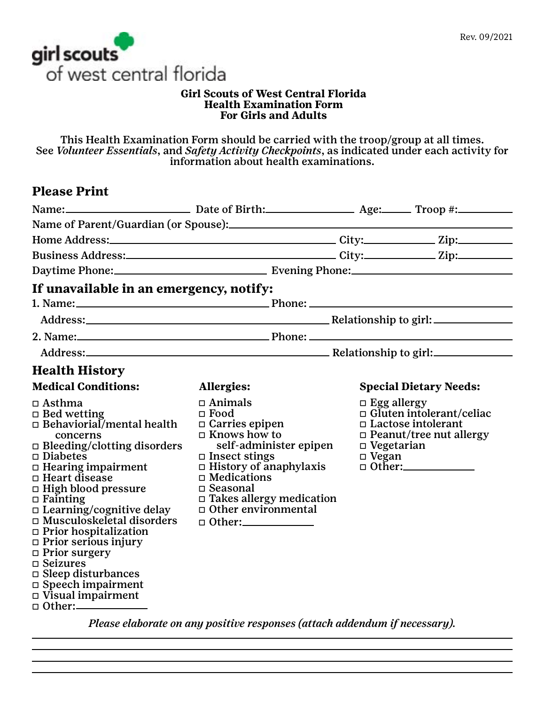

### **Girl Scouts of West Central Florida Health Examination Form For Girls and Adults**

This Health Examination Form should be carried with the troop/group at all times. See *Volunteer Essentials*, and *Safety Activity Checkpoints*, as indicated under each activity for information about health examinations.

# **Please Print**

| Name: Date of Birth: Age: Troop #: Troop #:                                                                                                                                                                                                                                                                                                                                                                                                                                                                            |                                                                                                                                                                                                                                                                                      |                                                         |                                                                                                |  |
|------------------------------------------------------------------------------------------------------------------------------------------------------------------------------------------------------------------------------------------------------------------------------------------------------------------------------------------------------------------------------------------------------------------------------------------------------------------------------------------------------------------------|--------------------------------------------------------------------------------------------------------------------------------------------------------------------------------------------------------------------------------------------------------------------------------------|---------------------------------------------------------|------------------------------------------------------------------------------------------------|--|
|                                                                                                                                                                                                                                                                                                                                                                                                                                                                                                                        |                                                                                                                                                                                                                                                                                      |                                                         |                                                                                                |  |
|                                                                                                                                                                                                                                                                                                                                                                                                                                                                                                                        |                                                                                                                                                                                                                                                                                      |                                                         |                                                                                                |  |
|                                                                                                                                                                                                                                                                                                                                                                                                                                                                                                                        |                                                                                                                                                                                                                                                                                      |                                                         |                                                                                                |  |
|                                                                                                                                                                                                                                                                                                                                                                                                                                                                                                                        |                                                                                                                                                                                                                                                                                      |                                                         |                                                                                                |  |
| If unavailable in an emergency, notify:                                                                                                                                                                                                                                                                                                                                                                                                                                                                                |                                                                                                                                                                                                                                                                                      |                                                         |                                                                                                |  |
|                                                                                                                                                                                                                                                                                                                                                                                                                                                                                                                        |                                                                                                                                                                                                                                                                                      |                                                         |                                                                                                |  |
|                                                                                                                                                                                                                                                                                                                                                                                                                                                                                                                        |                                                                                                                                                                                                                                                                                      |                                                         |                                                                                                |  |
|                                                                                                                                                                                                                                                                                                                                                                                                                                                                                                                        |                                                                                                                                                                                                                                                                                      |                                                         |                                                                                                |  |
|                                                                                                                                                                                                                                                                                                                                                                                                                                                                                                                        |                                                                                                                                                                                                                                                                                      |                                                         |                                                                                                |  |
| <b>Health History</b>                                                                                                                                                                                                                                                                                                                                                                                                                                                                                                  |                                                                                                                                                                                                                                                                                      |                                                         |                                                                                                |  |
| <b>Medical Conditions:</b>                                                                                                                                                                                                                                                                                                                                                                                                                                                                                             | Allergies:                                                                                                                                                                                                                                                                           |                                                         | <b>Special Dietary Needs:</b>                                                                  |  |
| $\Box$ Asthma<br>$\Box$ Bed wetting<br>$\Box$ Behaviorial/mental health<br>concerns<br>$\Box$ Bleeding/clotting disorders<br>$\square$ Diabetes<br>$\Box$ Hearing impairment<br>$\Box$ Heart disease<br>$\Box$ High blood pressure<br>$\Box$ Fainting<br>□ Learning/cognitive delay<br>$\Box$ Musculoskeletal disorders<br>$\Box$ Prior hospitalization<br>$\Box$ Prior serious injury<br>$\Box$ Prior surgery<br>$\Box$ Seizures<br>$\Box$ Sleep disturbances<br>$\Box$ Speech impairment<br>$\Box$ Visual impairment | $\Box$ Animals<br>$\Box$ Food<br>$\Box$ Carries epipen<br>$\Box$ Knows how to<br>self-administer epipen<br>$\square$ Insect stings<br>$\Box$ History of anaphylaxis<br>$\Box$ Medications<br>□ Seasonal<br>□ Takes allergy medication<br>$\Box$ Other environmental<br>$\Box$ Other: | $\Box$ Egg allergy<br>$\Box$ Vegetarian<br>$\Box$ Vegan | $\Box$ Gluten intolerant/celiac<br>$\Box$ Lactose intolerant<br>$\Box$ Peanut/tree nut allergy |  |

*Please elaborate on any positive responses (attach addendum if necessary).*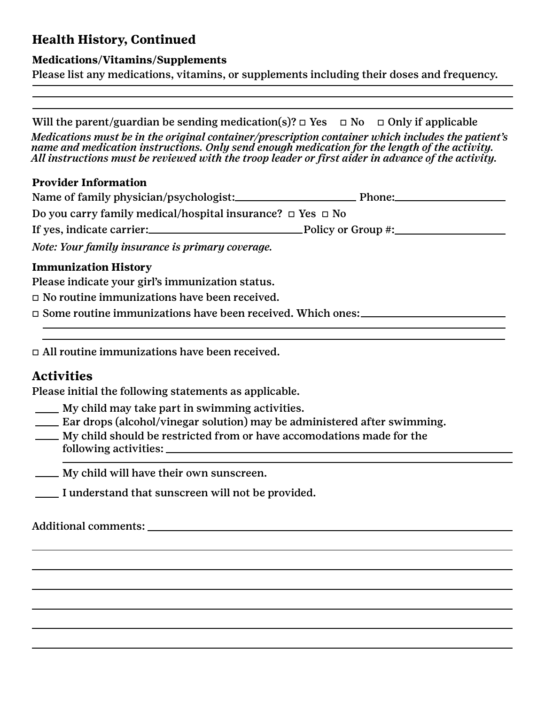# **Health History, Continued**

## **Medications/Vitamins/Supplements**

Please list any medications, vitamins, or supplements including their doses and frequency.

Will the parent/guardian be sending medication(s)?  $\Box$  Yes  $\Box$  No  $\Box$  Only if applicable *Medications must be in the original container/prescription container which includes the patient's name and medication instructions. Only send enough medication for the length of the activity. All instructions must be reviewed with the troop leader or first aider in advance of the activity.* 

## **Provider Information**

| Name of family physician/psychologist:                               | Phone: |
|----------------------------------------------------------------------|--------|
| Do you carry family medical/hospital insurance? $\Box$ Yes $\Box$ No |        |
| If yes, indicate carrier: Policy or Group #:                         |        |
| Note: Your family insurance is primary coverage.                     |        |

## **Immunization History**

Please indicate your girl's immunization status.

 $\Box$  No routine immunizations have been received.

 $\Box$  Some routine immunizations have been received. Which ones:

 $\Box$  All routine immunizations have been received.

# **Activities**

Please initial the following statements as applicable.

- My child may take part in swimming activities.
- Ear drops (alcohol/vinegar solution) may be administered after swimming.
- <u>Example 15 My child should be restricted from or have accomodations made for the</u> following activities:
- My child will have their own sunscreen.
- I understand that sunscreen will not be provided.

Additional comments: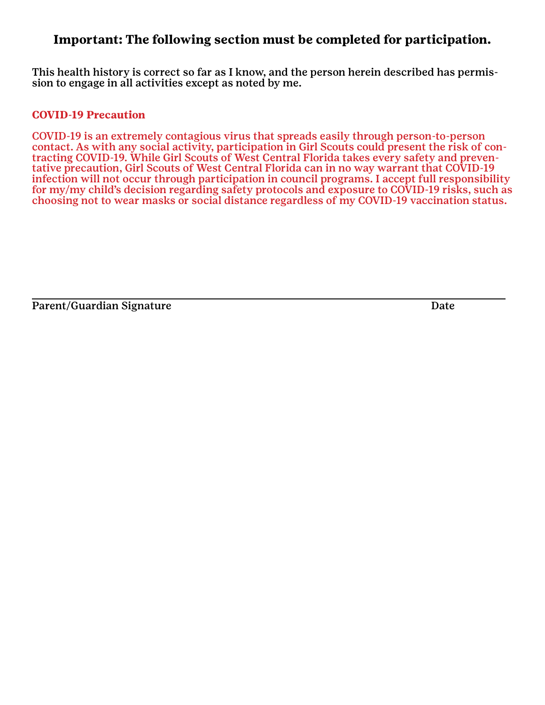## **Important: The following section must be completed for participation.**

This health history is correct so far as I know, and the person herein described has permission to engage in all activities except as noted by me.

### **COVID-19 Precaution**

COVID-19 is an extremely contagious virus that spreads easily through person-to-person contact. As with any social activity, participation in Girl Scouts could present the risk of contracting COVID-19. While Girl Scouts of West Central Florida takes every safety and preventative precaution, Girl Scouts of West Central Florida can in no way warrant that COVID-19 infection will not occur through participation in council programs. I accept full responsibility for my/my child's decision regarding safety protocols and exposure to COVID-19 risks, such as choosing not to wear masks or social distance regardless of my COVID-19 vaccination status.

Parent/Guardian Signature Date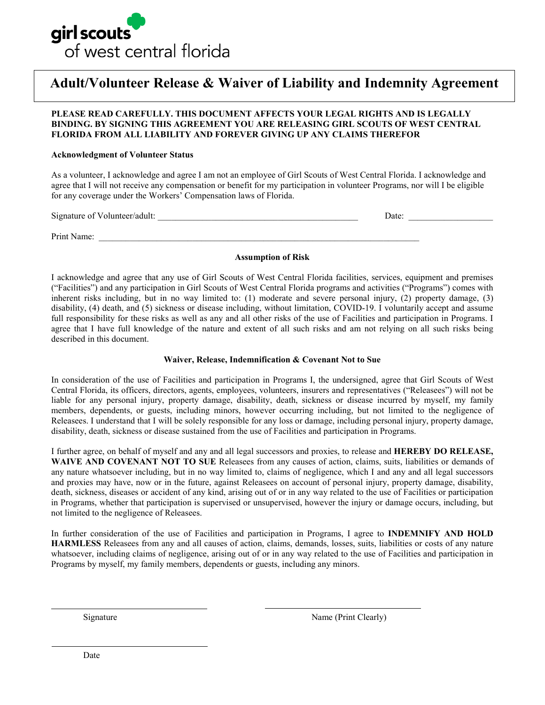

# **Adult/Volunteer Release & Waiver of Liability and Indemnity Agreement**

### **PLEASE READ CAREFULLY. THIS DOCUMENT AFFECTS YOUR LEGAL RIGHTS AND IS LEGALLY BINDING. BY SIGNING THIS AGREEMENT YOU ARE RELEASING GIRL SCOUTS OF WEST CENTRAL FLORIDA FROM ALL LIABILITY AND FOREVER GIVING UP ANY CLAIMS THEREFOR**

### **Acknowledgment of Volunteer Status**

As a volunteer, I acknowledge and agree I am not an employee of Girl Scouts of West Central Florida. I acknowledge and agree that I will not receive any compensation or benefit for my participation in volunteer Programs, nor will I be eligible for any coverage under the Workers' Compensation laws of Florida.

| Signature of Volunteer/adult: | Date: |  |  |
|-------------------------------|-------|--|--|
|                               |       |  |  |
| Print Name:                   |       |  |  |

### **Assumption of Risk**

I acknowledge and agree that any use of Girl Scouts of West Central Florida facilities, services, equipment and premises ("Facilities") and any participation in Girl Scouts of West Central Florida programs and activities ("Programs") comes with inherent risks including, but in no way limited to: (1) moderate and severe personal injury, (2) property damage, (3) disability, (4) death, and (5) sickness or disease including, without limitation, COVID-19. I voluntarily accept and assume full responsibility for these risks as well as any and all other risks of the use of Facilities and participation in Programs. I agree that I have full knowledge of the nature and extent of all such risks and am not relying on all such risks being described in this document.

### **Waiver, Release, Indemnification & Covenant Not to Sue**

In consideration of the use of Facilities and participation in Programs I, the undersigned, agree that Girl Scouts of West Central Florida, its officers, directors, agents, employees, volunteers, insurers and representatives ("Releasees") will not be liable for any personal injury, property damage, disability, death, sickness or disease incurred by myself, my family members, dependents, or guests, including minors, however occurring including, but not limited to the negligence of Releasees. I understand that I will be solely responsible for any loss or damage, including personal injury, property damage, disability, death, sickness or disease sustained from the use of Facilities and participation in Programs.

I further agree, on behalf of myself and any and all legal successors and proxies, to release and **HEREBY DO RELEASE,**  WAIVE AND COVENANT NOT TO SUE Releasees from any causes of action, claims, suits, liabilities or demands of any nature whatsoever including, but in no way limited to, claims of negligence, which I and any and all legal successors and proxies may have, now or in the future, against Releasees on account of personal injury, property damage, disability, death, sickness, diseases or accident of any kind, arising out of or in any way related to the use of Facilities or participation in Programs, whether that participation is supervised or unsupervised, however the injury or damage occurs, including, but not limited to the negligence of Releasees.

In further consideration of the use of Facilities and participation in Programs, I agree to **INDEMNIFY AND HOLD HARMLESS** Releasees from any and all causes of action, claims, demands, losses, suits, liabilities or costs of any nature whatsoever, including claims of negligence, arising out of or in any way related to the use of Facilities and participation in Programs by myself, my family members, dependents or guests, including any minors.

Signature Name (Print Clearly)

Date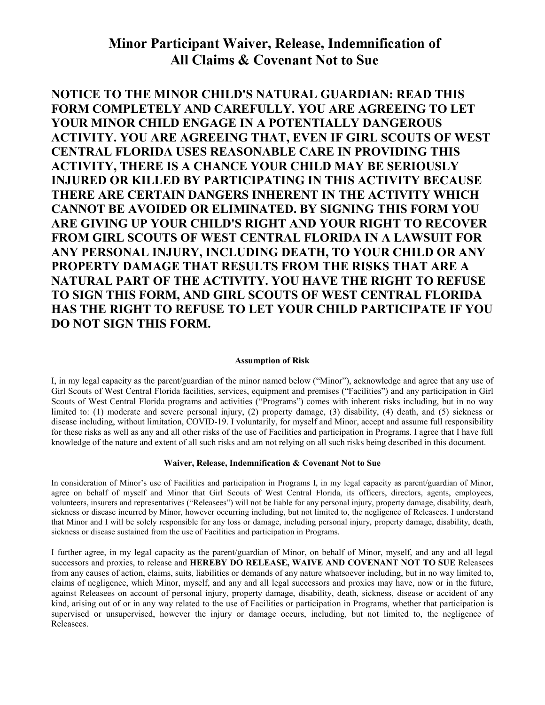# Minor Participant Waiver, Release, Indemnification of All Claims & Covenant Not to Sue

**NOTICE TO THE MINOR CHILD'S NATURAL GUARDIAN: READ THIS FORM COMPLETELY AND CAREFULLY. YOU ARE AGREEING TO LET YOUR MINOR CHILD ENGAGE IN A POTENTIALLY DANGEROUS ACTIVITY. YOU ARE AGREEING THAT, EVEN IF GIRL SCOUTS OF WEST CENTRAL FLORIDA USES REASONABLE CARE IN PROVIDING THIS ACTIVITY, THERE IS A CHANCE YOUR CHILD MAY BE SERIOUSLY INJURED OR KILLED BY PARTICIPATING IN THIS ACTIVITY BECAUSE THERE ARE CERTAIN DANGERS INHERENT IN THE ACTIVITY WHICH CANNOT BE AVOIDED OR ELIMINATED. BY SIGNING THIS FORM YOU ARE GIVING UP YOUR CHILD'S RIGHT AND YOUR RIGHT TO RECOVER FROM GIRL SCOUTS OF WEST CENTRAL FLORIDA IN A LAWSUIT FOR ANY PERSONAL INJURY, INCLUDING DEATH, TO YOUR CHILD OR ANY PROPERTY DAMAGE THAT RESULTS FROM THE RISKS THAT ARE A NATURAL PART OF THE ACTIVITY. YOU HAVE THE RIGHT TO REFUSE TO SIGN THIS FORM, AND GIRL SCOUTS OF WEST CENTRAL FLORIDA HAS THE RIGHT TO REFUSE TO LET YOUR CHILD PARTICIPATE IF YOU DO NOT SIGN THIS FORM.**

### **Assumption of Risk**

I, in my legal capacity as the parent/guardian of the minor named below ("Minor"), acknowledge and agree that any use of Girl Scouts of West Central Florida facilities, services, equipment and premises ("Facilities") and any participation in Girl Scouts of West Central Florida programs and activities ("Programs") comes with inherent risks including, but in no way limited to: (1) moderate and severe personal injury, (2) property damage, (3) disability, (4) death, and (5) sickness or disease including, without limitation, COVID-19. I voluntarily, for myself and Minor, accept and assume full responsibility for these risks as well as any and all other risks of the use of Facilities and participation in Programs. I agree that I have full knowledge of the nature and extent of all such risks and am not relying on all such risks being described in this document.

### **Waiver, Release, Indemnification & Covenant Not to Sue**

In consideration of Minor's use of Facilities and participation in Programs I, in my legal capacity as parent/guardian of Minor, agree on behalf of myself and Minor that Girl Scouts of West Central Florida, its officers, directors, agents, employees, volunteers, insurers and representatives ("Releasees") will not be liable for any personal injury, property damage, disability, death, sickness or disease incurred by Minor, however occurring including, but not limited to, the negligence of Releasees. I understand that Minor and I will be solely responsible for any loss or damage, including personal injury, property damage, disability, death, sickness or disease sustained from the use of Facilities and participation in Programs.

I further agree, in my legal capacity as the parent/guardian of Minor, on behalf of Minor, myself, and any and all legal successors and proxies, to release and **HEREBY DO RELEASE, WAIVE AND COVENANT NOT TO SUE** Releasees from any causes of action, claims, suits, liabilities or demands of any nature whatsoever including, but in no way limited to, claims of negligence, which Minor, myself, and any and all legal successors and proxies may have, now or in the future, against Releasees on account of personal injury, property damage, disability, death, sickness, disease or accident of any kind, arising out of or in any way related to the use of Facilities or participation in Programs, whether that participation is supervised or unsupervised, however the injury or damage occurs, including, but not limited to, the negligence of Releasees.